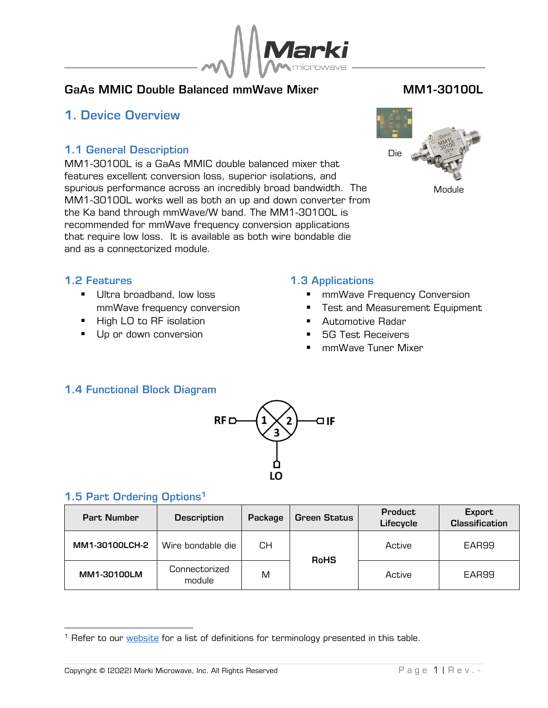

## GaAs MMIC Double Balanced mmWave Mixer **MM1-30100L**

## <span id="page-0-0"></span>1. Device Overview

### 1.1 General Description

<span id="page-0-1"></span>MM1-30100L is a GaAs MMIC double balanced mixer that features excellent conversion loss, superior isolations, and spurious performance across an incredibly broad bandwidth. The MM1-30100L works well as both an up and down converter from the Ka band through mmWave/W band. The MM1-30100L is recommended for mmWave frequency conversion applications that require low loss. It is available as both wire bondable die and as a connectorized module.



Module

#### <span id="page-0-2"></span>1.2 Features

- **■** Ultra broadband, low loss mmWave frequency conversion
- High LO to RF isolation
- Up or down conversion

#### <span id="page-0-3"></span>1.3 Applications

- mmWave Frequency Conversion
- Test and Measurement Equipment
- Automotive Radar
- **5G Test Receivers**
- mmWave Tuner Mixer

## <span id="page-0-4"></span>1.4 Functional Block Diagram



## <span id="page-0-5"></span>1.5 Part Ordering Options<sup>1</sup>

| <b>Part Number</b> | <b>Description</b>      | Package | <b>Green Status</b> | <b>Product</b><br>Lifecycle | Export<br><b>Classification</b> |  |
|--------------------|-------------------------|---------|---------------------|-----------------------------|---------------------------------|--|
| MM1-30100LCH-2     | Wire bondable die       | CН      | <b>RoHS</b>         | Active                      | EAR99                           |  |
| MM1-30100LM        | Connectorized<br>module | M       |                     | Active                      | EAR99                           |  |

<sup>&</sup>lt;sup>1</sup> Refer to our **website** for a list of definitions for terminology presented in this table.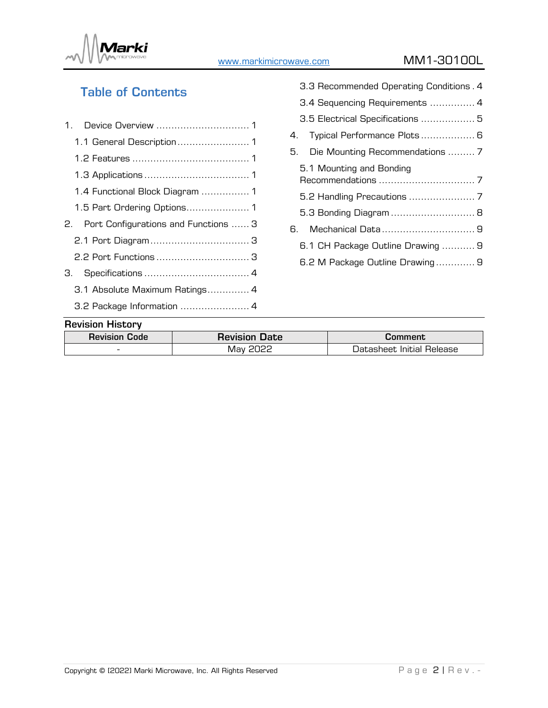

[www.markimicrowave.com](http://www.markimicrowae.com/) MM1-30100L

# Table of Contents

| 1.1 General Description 1               |  |
|-----------------------------------------|--|
|                                         |  |
|                                         |  |
| 1.4 Functional Block Diagram  1         |  |
| 1.5 Part Ordering Options 1             |  |
| 2. Port Configurations and Functions  3 |  |
|                                         |  |
| 2.2 Port Functions  3                   |  |
| З.                                      |  |
| 3.1 Absolute Maximum Ratings 4          |  |
| 3.2 Package Information  4              |  |
|                                         |  |

| 3.3 Recommended Operating Conditions. 4 |
|-----------------------------------------|
| 3.4 Sequencing Requirements  4          |
| 3.5 Electrical Specifications  5        |
| 4. Typical Performance Plots  6         |
| 5. Die Mounting Recommendations  7      |
| 5.1 Mounting and Bonding                |
|                                         |
| 5.3 Bonding Diagram  8                  |
| 6. Mechanical Data 9                    |
| 6.1 CH Package Outline Drawing  9       |
| 6.2 M Package Outline Drawing 9         |
|                                         |

## Revision History

| .                        |                      |                           |
|--------------------------|----------------------|---------------------------|
| <b>Revision Code</b>     | <b>Revision Date</b> | Comment                   |
| $\overline{\phantom{a}}$ | May                  | Datasheet Initial Release |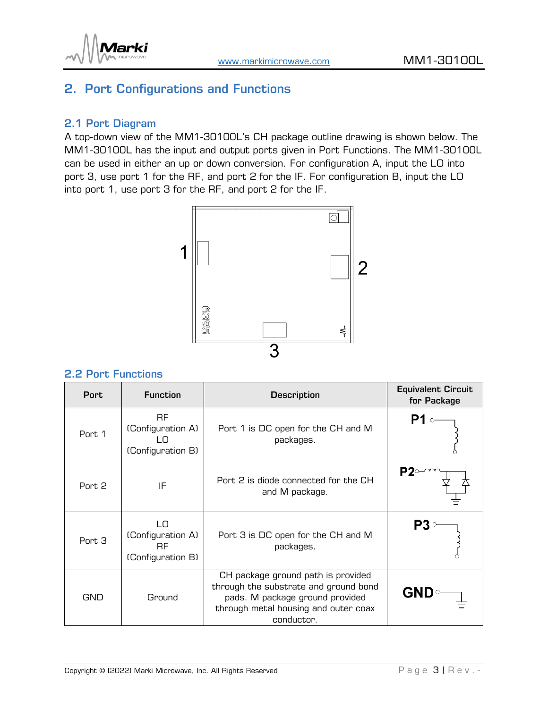



# <span id="page-2-0"></span>2. Port Configurations and Functions

#### <span id="page-2-1"></span>2.1 Port Diagram

A top-down view of the MM1-30100L's CH package outline drawing is shown below. The MM1-30100L has the input and output ports given in Port Functions. The MM1-30100L can be used in either an up or down conversion. For configuration A, input the LO into port 3, use port 1 for the RF, and port 2 for the IF. For configuration B, input the LO into port 1, use port 3 for the RF, and port 2 for the IF.



#### <span id="page-2-2"></span>2.2 Port Functions

| <b>Port</b> | <b>Function</b>                                            | <b>Description</b>                                                                                                                                                   | <b>Equivalent Circuit</b><br>for Package |
|-------------|------------------------------------------------------------|----------------------------------------------------------------------------------------------------------------------------------------------------------------------|------------------------------------------|
| Port 1      | <b>RF</b><br>(Configuration A)<br>ח ו<br>(Configuration B) | Port 1 is DC open for the CH and M<br>packages.                                                                                                                      | P1                                       |
| Port 2      | IF                                                         | Port 2 is diode connected for the CH<br>and M package.                                                                                                               |                                          |
| Port 3      | LО<br>(Configuration A)<br><b>RF</b><br>(Configuration B)  | Port 3 is DC open for the CH and M<br>packages.                                                                                                                      |                                          |
| GND         | Ground                                                     | CH package ground path is provided<br>through the substrate and ground bond<br>pads. M package ground provided<br>through metal housing and outer coax<br>conductor. | <b>GND</b>                               |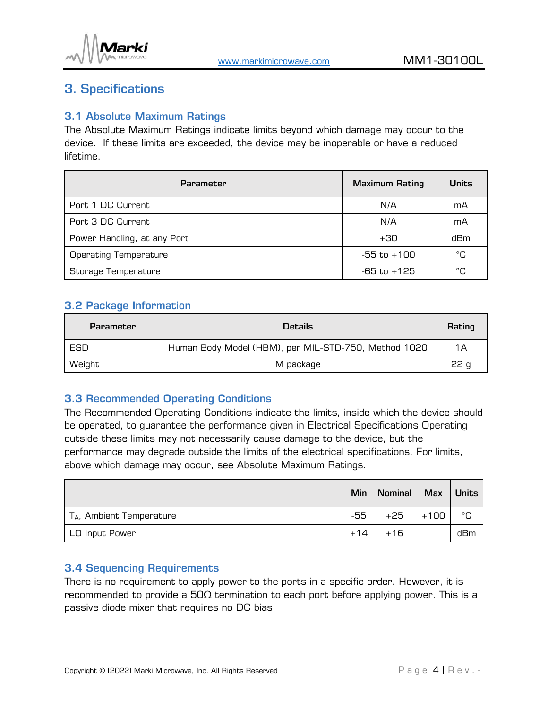

## <span id="page-3-0"></span>3. Specifications

#### <span id="page-3-1"></span>3.1 Absolute Maximum Ratings

The Absolute Maximum Ratings indicate limits beyond which damage may occur to the device. If these limits are exceeded, the device may be inoperable or have a reduced lifetime.

| <b>Parameter</b>             | <b>Maximum Rating</b> | <b>Units</b> |
|------------------------------|-----------------------|--------------|
| Port 1 DC Current            | N/A                   | mA           |
| Port 3 DC Current            | N/A                   | mA           |
| Power Handling, at any Port  | $+30$                 | dBm          |
| <b>Operating Temperature</b> | $-55$ to $+100$       | °C           |
| Storage Temperature          | -65 to +125           | °C           |

#### <span id="page-3-2"></span>3.2 Package Information

| <b>Parameter</b> | <b>Details</b>                                       | Rating          |
|------------------|------------------------------------------------------|-----------------|
| ESD              | Human Body Model (HBM), per MIL-STD-750, Method 1020 | 1Α              |
| Weight           | M package                                            | 22 <sub>g</sub> |

#### <span id="page-3-3"></span>3.3 Recommended Operating Conditions

The Recommended Operating Conditions indicate the limits, inside which the device should be operated, to guarantee the performance given in Electrical Specifications Operating outside these limits may not necessarily cause damage to the device, but the performance may degrade outside the limits of the electrical specifications. For limits, above which damage may occur, see Absolute Maximum Ratings.

|                                      | Min   | <b>Nominal</b> | Max    | <b>Units</b> |
|--------------------------------------|-------|----------------|--------|--------------|
| T <sub>A</sub> , Ambient Temperature | -55   | +25            | $+100$ | °C           |
| LO Input Power                       | $+14$ | $+16$          |        | dBm          |

#### <span id="page-3-4"></span>3.4 Sequencing Requirements

There is no requirement to apply power to the ports in a specific order. However, it is recommended to provide a  $50\Omega$  termination to each port before applying power. This is a passive diode mixer that requires no DC bias.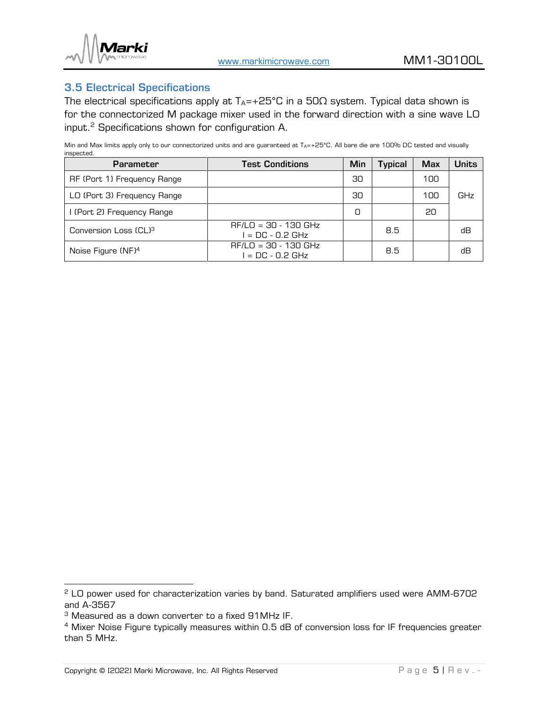

#### <span id="page-4-0"></span>3.5 Electrical Specifications

The electrical specifications apply at  $T_A$ =+25°C in a 50 $\Omega$  system. Typical data shown is for the connectorized M package mixer used in the forward direction with a sine wave LO input.<sup>2</sup> Specifications shown for configuration A.

Min and Max limits apply only to our connectorized units and are guaranteed at  $T_{A}=+25^{\circ}C$ . All bare die are 100% DC tested and visually inspected.

| <b>Parameter</b>                  | <b>Test Conditions</b>                       | Min | <b>Typical</b> | <b>Max</b> | <b>Units</b> |
|-----------------------------------|----------------------------------------------|-----|----------------|------------|--------------|
| RF (Port 1) Frequency Range       |                                              | 30  |                | 100        |              |
| LO (Port 3) Frequency Range       |                                              | 30  |                | 100        | GHz          |
| I (Port 2) Frequency Range        |                                              | 0   |                | 20         |              |
| Conversion Loss (CL) <sup>3</sup> | $RF/LO = 30 - 130$ GHz<br>$I = DC - 0.2 GHz$ |     | 8.5            |            | dВ           |
| Noise Figure (NF) <sup>4</sup>    | $RF/LO = 30 - 130$ GHz<br>$I = DC - 0.2 GHz$ |     | 8.5            |            | dВ           |

<sup>&</sup>lt;sup>2</sup> LO power used for characterization varies by band. Saturated amplifiers used were AMM-6702 and A-3567

<sup>3</sup> Measured as a down converter to a fixed 91MHz IF.

<sup>&</sup>lt;sup>4</sup> Mixer Noise Figure typically measures within 0.5 dB of conversion loss for IF frequencies greater than 5 MHz.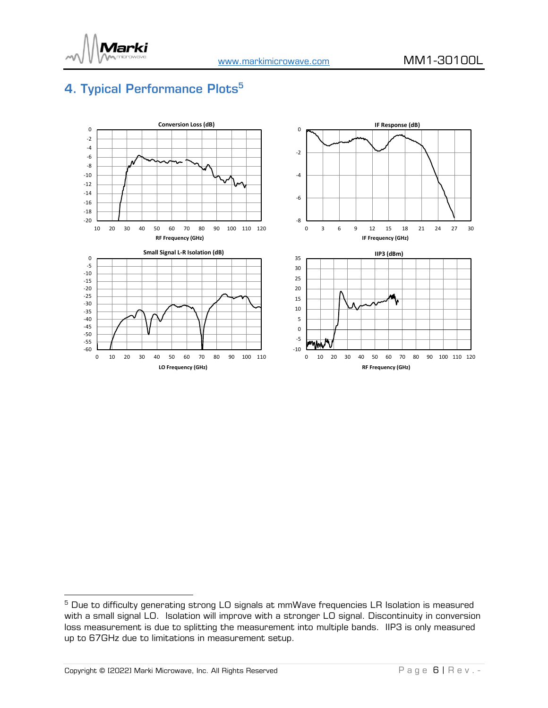

# <span id="page-5-0"></span>4. Typical Performance Plots<sup>5</sup>



<sup>&</sup>lt;sup>5</sup> Due to difficulty generating strong LO signals at mmWave frequencies LR Isolation is measured with a small signal LO. Isolation will improve with a stronger LO signal. Discontinuity in conversion loss measurement is due to splitting the measurement into multiple bands. IIP3 is only measured up to 67GHz due to limitations in measurement setup.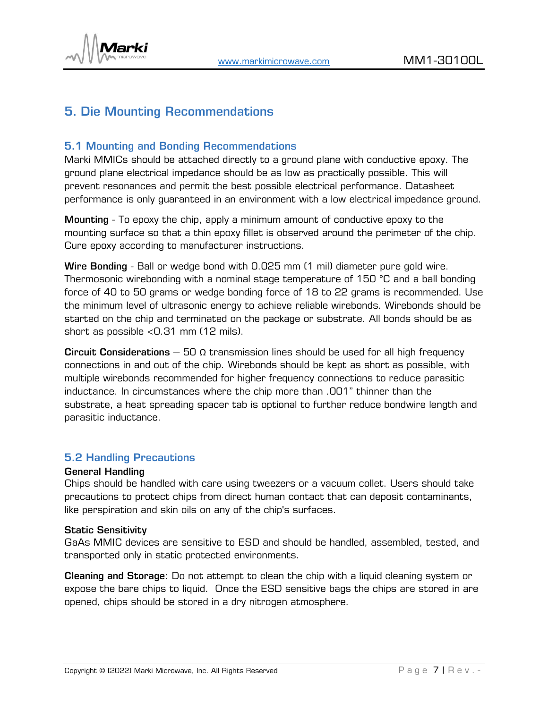

# <span id="page-6-0"></span>5. Die Mounting Recommendations

#### <span id="page-6-1"></span>5.1 Mounting and Bonding Recommendations

Marki MMICs should be attached directly to a ground plane with conductive epoxy. The ground plane electrical impedance should be as low as practically possible. This will prevent resonances and permit the best possible electrical performance. Datasheet performance is only guaranteed in an environment with a low electrical impedance ground.

Mounting - To epoxy the chip, apply a minimum amount of conductive epoxy to the mounting surface so that a thin epoxy fillet is observed around the perimeter of the chip. Cure epoxy according to manufacturer instructions.

Wire Bonding - Ball or wedge bond with 0.025 mm (1 mil) diameter pure gold wire. Thermosonic wirebonding with a nominal stage temperature of 150 °C and a ball bonding force of 40 to 50 grams or wedge bonding force of 18 to 22 grams is recommended. Use the minimum level of ultrasonic energy to achieve reliable wirebonds. Wirebonds should be started on the chip and terminated on the package or substrate. All bonds should be as short as possible <0.31 mm (12 mils).

Circuit Considerations – 50  $\Omega$  transmission lines should be used for all high frequency connections in and out of the chip. Wirebonds should be kept as short as possible, with multiple wirebonds recommended for higher frequency connections to reduce parasitic inductance. In circumstances where the chip more than .001" thinner than the substrate, a heat spreading spacer tab is optional to further reduce bondwire length and parasitic inductance.

#### <span id="page-6-2"></span>5.2 Handling Precautions

#### General Handling

Chips should be handled with care using tweezers or a vacuum collet. Users should take precautions to protect chips from direct human contact that can deposit contaminants, like perspiration and skin oils on any of the chip's surfaces.

#### Static Sensitivity

GaAs MMIC devices are sensitive to ESD and should be handled, assembled, tested, and transported only in static protected environments.

Cleaning and Storage: Do not attempt to clean the chip with a liquid cleaning system or expose the bare chips to liquid. Once the ESD sensitive bags the chips are stored in are opened, chips should be stored in a dry nitrogen atmosphere.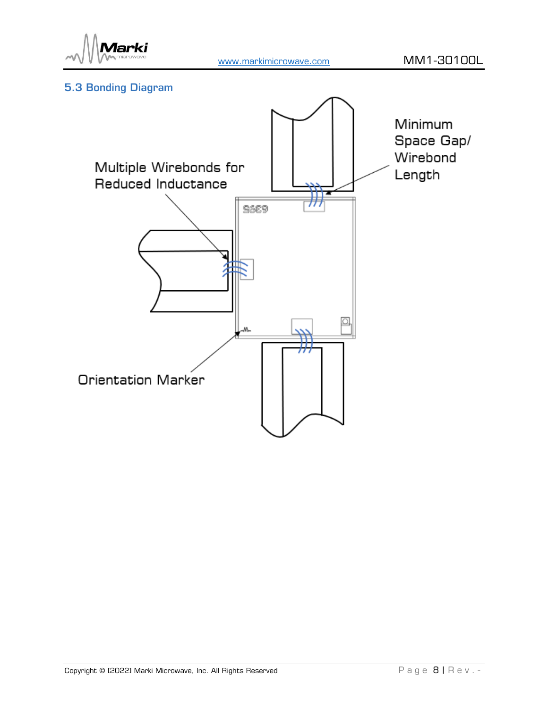

## <span id="page-7-0"></span>5.3 Bonding Diagram